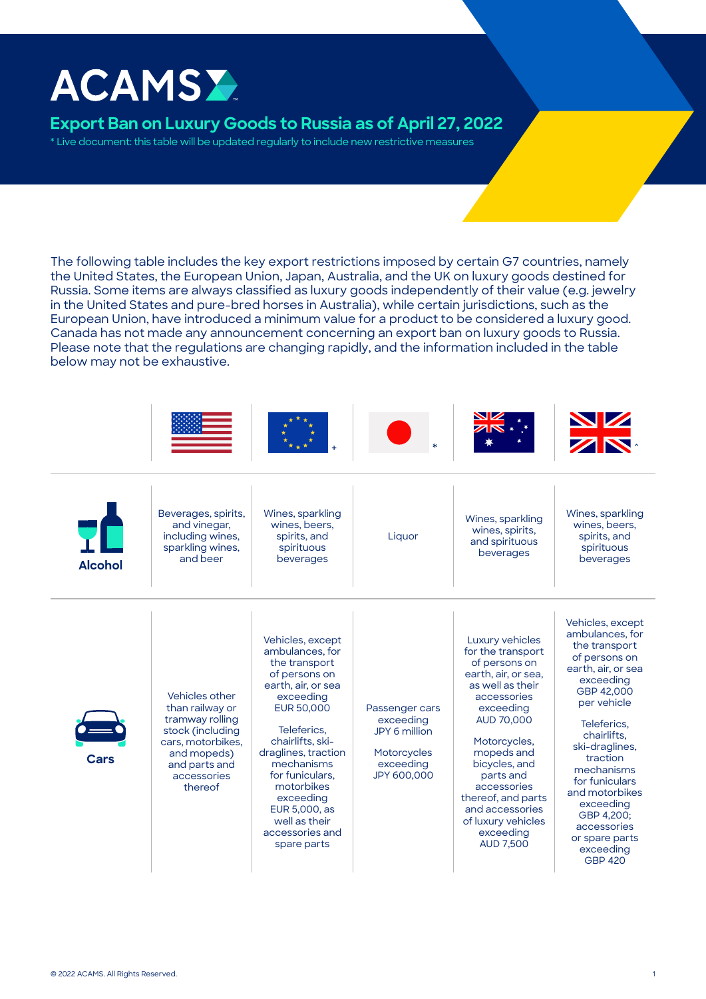# **ACAMSY**

## **Export Ban on Luxury Goods to Russia as of April 27, 2022**

\* Live document: this table will be updated regularly to include new restrictive measures

The following table includes the key export restrictions imposed by certain G7 countries, namely the United States, the European Union, Japan, Australia, and the UK on luxury goods destined for Russia. Some items are always classified as luxury goods independently of their value (e.g. jewelry in the United States and pure-bred horses in Australia), while certain jurisdictions, such as the European Union, have introduced a minimum value for a product to be considered a luxury good. Canada has not made any announcement concerning an export ban on luxury goods to Russia. Please note that the regulations are changing rapidly, and the information included in the table below may not be exhaustive.





Beverages, spirits, and vinegar, including wines, sparkling wines, and beer Alcohol and beer beverages and beverages beverages beverages

Vehicles other than railway or tramway rolling stock (including cars, motorbikes, and mopeds) and parts and accessories thereof

Wines, sparkling wines, beers, spirits, and spirituous beverages



Wines, sparkling wines, spirits, and spirituous beverages



Luxury vehicles for the transport of persons on earth, air, or sea, as well as their accessories exceeding AUD 70,000 Vehicles, except ambulances, for the transport of persons on earth, air, or sea exceeding GBP 42,000 per vehicle **Teleferics** 

chairlifts, ski-draglines, traction mechanisms for funiculars and motorbikes exceeding GBP 4,200; accessories or spare parts exceeding GBP 420

| Cars |
|------|

Vehicles, except ambulances, for the transport of persons on earth, air, or sea exceeding EUR 50,000 Teleferics,

chairlifts, skidraglines, traction mechanisms for funiculars, motorbikes exceeding EUR 5,000, as well as their accessories and spare parts

Passenger cars exceeding JPY 6 million

**Motorcycles** exceeding JPY 600,000

Motorcycles, mopeds and bicycles, and parts and accessories thereof, and parts and accessories

of luxury vehicles exceeding AUD 7,500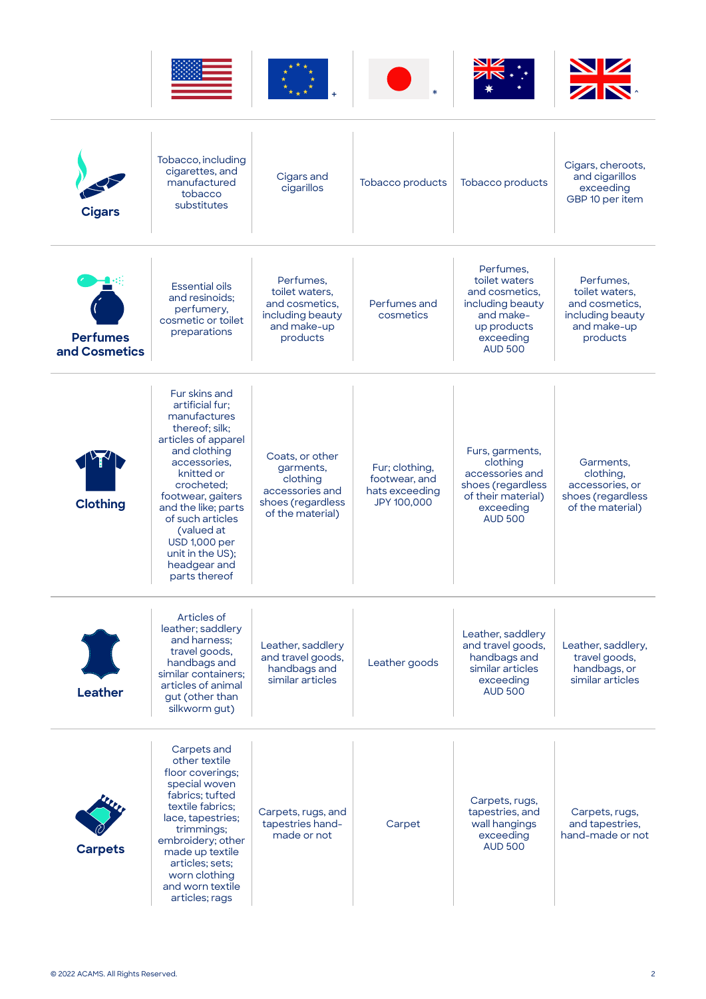

| <b>Cigars</b>                    | Tobacco, including<br>cigarettes, and<br>manufactured<br>tobacco<br>substitutes                                                                                                                                                                                                                                  | Cigars and<br>cigarillos                                                                             | Tobacco products                                                 | Tobacco products                                                                                                            | Cigars, cheroots,<br>and cigarillos<br>exceeding<br>GBP 10 per item                          |
|----------------------------------|------------------------------------------------------------------------------------------------------------------------------------------------------------------------------------------------------------------------------------------------------------------------------------------------------------------|------------------------------------------------------------------------------------------------------|------------------------------------------------------------------|-----------------------------------------------------------------------------------------------------------------------------|----------------------------------------------------------------------------------------------|
| <b>Perfumes</b><br>and Cosmetics | <b>Essential oils</b><br>and resinoids;<br>perfumery,<br>cosmetic or toilet<br>preparations                                                                                                                                                                                                                      | Perfumes.<br>toilet waters.<br>and cosmetics.<br>including beauty<br>and make-up<br>products         | Perfumes and<br>cosmetics                                        | Perfumes,<br>toilet waters<br>and cosmetics.<br>including beauty<br>and make-<br>up products<br>exceeding<br><b>AUD 500</b> | Perfumes,<br>toilet waters.<br>and cosmetics.<br>including beauty<br>and make-up<br>products |
| <b>Clothing</b>                  | Fur skins and<br>artificial fur;<br>manufactures<br>thereof; silk;<br>articles of apparel<br>and clothing<br>accessories.<br>knitted or<br>crocheted;<br>footwear, gaiters<br>and the like; parts<br>of such articles<br>(valued at<br><b>USD 1,000 per</b><br>unit in the US);<br>headgear and<br>parts thereof | Coats, or other<br>garments,<br>clothing<br>accessories and<br>shoes (regardless<br>of the material) | Fur; clothing,<br>footwear, and<br>hats exceeding<br>JPY 100,000 | Furs, garments,<br>clothing<br>accessories and<br>shoes (regardless<br>of their material)<br>exceeding<br><b>AUD 500</b>    | Garments,<br>clothing,<br>accessories, or<br>shoes (regardless<br>of the material)           |
| <b>Leather</b>                   | Articles of<br>leather; saddlery<br>and harness:<br>travel goods,<br>handbags and<br>similar containers:<br>articles of animal<br>gut (other than<br>silkworm gut)                                                                                                                                               | Leather, saddlery<br>and travel goods,<br>handbags and<br>similar articles                           | Leather goods                                                    | Leather, saddlery<br>and travel goods,<br>handbags and<br>similar articles<br>exceeding<br><b>AUD 500</b>                   | Leather, saddlery,<br>travel goods,<br>handbags, or<br>similar articles                      |
| <b>Carpets</b>                   | Carpets and<br>other textile<br>floor coverings;<br>special woven<br>fabrics; tufted<br>textile fabrics:<br>lace, tapestries;<br>trimmings;<br>embroidery; other<br>made up textile<br>articles; sets;<br>worn clothing<br>and worn textile<br>articles; rags                                                    | Carpets, rugs, and<br>tapestries hand-<br>made or not                                                | Carpet                                                           | Carpets, rugs,<br>tapestries, and<br>wall hangings<br>exceeding<br><b>AUD 500</b>                                           | Carpets, rugs,<br>and tapestries,<br>hand-made or not                                        |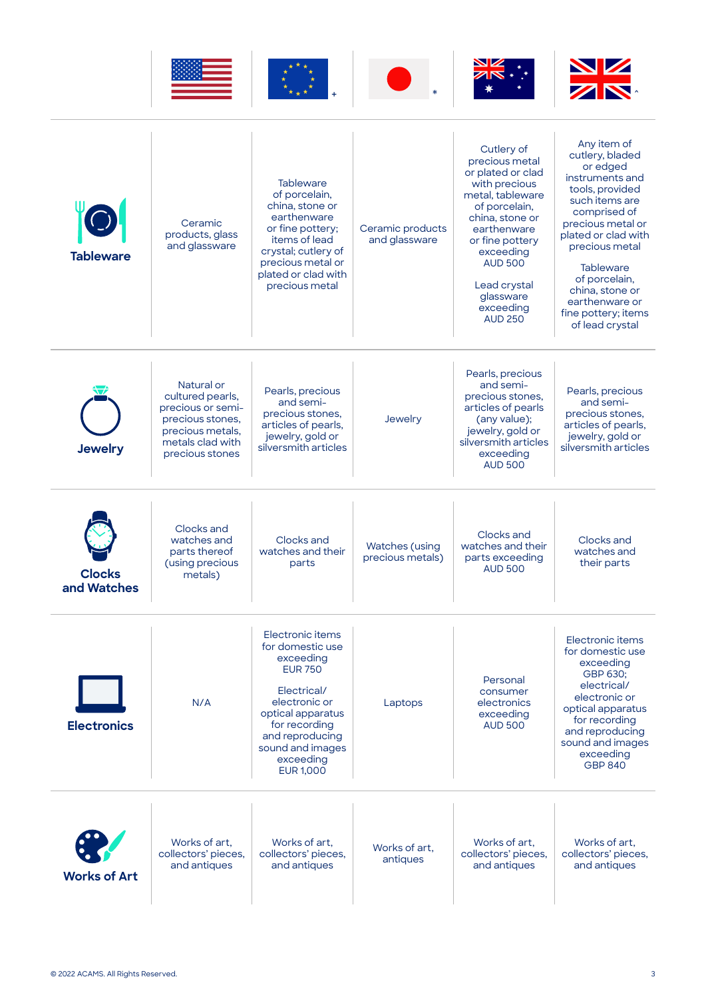

| <b>Tableware</b>             | Ceramic<br>products, glass<br>and glassware                                                                                        | <b>Tableware</b><br>of porcelain,<br>china, stone or<br>earthenware<br>or fine pottery;<br>items of lead<br>crystal; cutlery of<br>precious metal or<br>plated or clad with<br>precious metal                     | Ceramic products<br>and glassware         | Cutlery of<br>precious metal<br>or plated or clad<br>with precious<br>metal, tableware<br>of porcelain,<br>china, stone or<br>earthenware<br>or fine pottery<br>exceeding<br><b>AUD 500</b><br>Lead crystal<br>glassware<br>exceeding<br><b>AUD 250</b> | Any item of<br>cutlery, bladed<br>or edged<br>instruments and<br>tools, provided<br>such items are<br>comprised of<br>precious metal or<br>plated or clad with<br>precious metal<br><b>Tableware</b><br>of porcelain,<br>china, stone or<br>earthenware or<br>fine pottery; items<br>of lead crystal |
|------------------------------|------------------------------------------------------------------------------------------------------------------------------------|-------------------------------------------------------------------------------------------------------------------------------------------------------------------------------------------------------------------|-------------------------------------------|---------------------------------------------------------------------------------------------------------------------------------------------------------------------------------------------------------------------------------------------------------|------------------------------------------------------------------------------------------------------------------------------------------------------------------------------------------------------------------------------------------------------------------------------------------------------|
| <b>Jewelry</b>               | Natural or<br>cultured pearls,<br>precious or semi-<br>precious stones,<br>precious metals,<br>metals clad with<br>precious stones | Pearls, precious<br>and semi-<br>precious stones,<br>articles of pearls,<br>jewelry, gold or<br>silversmith articles                                                                                              | Jewelry                                   | Pearls, precious<br>and semi-<br>precious stones,<br>articles of pearls<br>(any value);<br>jewelry, gold or<br>silversmith articles<br>exceeding<br><b>AUD 500</b>                                                                                      | Pearls, precious<br>and semi-<br>precious stones,<br>articles of pearls,<br>jewelry, gold or<br>silversmith articles                                                                                                                                                                                 |
| <b>Clocks</b><br>and Watches | Clocks and<br>watches and<br>parts thereof<br>(using precious<br>metals)                                                           | Clocks and<br>watches and their<br>parts                                                                                                                                                                          | <b>Watches</b> (using<br>precious metals) | Clocks and<br>watches and their<br>parts exceeding<br><b>AUD 500</b>                                                                                                                                                                                    | Clocks and<br>watches and<br>their parts                                                                                                                                                                                                                                                             |
| <b>Electronics</b>           | N/A                                                                                                                                | Electronic items<br>for domestic use<br>exceeding<br><b>EUR 750</b><br>Electrical/<br>electronic or<br>optical apparatus<br>for recording<br>and reproducing<br>sound and images<br>exceeding<br><b>EUR 1,000</b> | Laptops                                   | Personal<br>consumer<br>electronics<br>exceeding<br><b>AUD 500</b>                                                                                                                                                                                      | Electronic items<br>for domestic use<br>exceeding<br>GBP 630;<br>electrical/<br>electronic or<br>optical apparatus<br>for recording<br>and reproducing<br>sound and images<br>exceeding<br><b>GBP 840</b>                                                                                            |
| <b>Works of Art</b>          | Works of art,<br>collectors' pieces,<br>and antiques                                                                               | Works of art,<br>collectors' pieces,<br>and antiques                                                                                                                                                              | Works of art.<br>antiques                 | Works of art.<br>collectors' pieces,<br>and antiques                                                                                                                                                                                                    | Works of art,<br>collectors' pieces,<br>and antiques                                                                                                                                                                                                                                                 |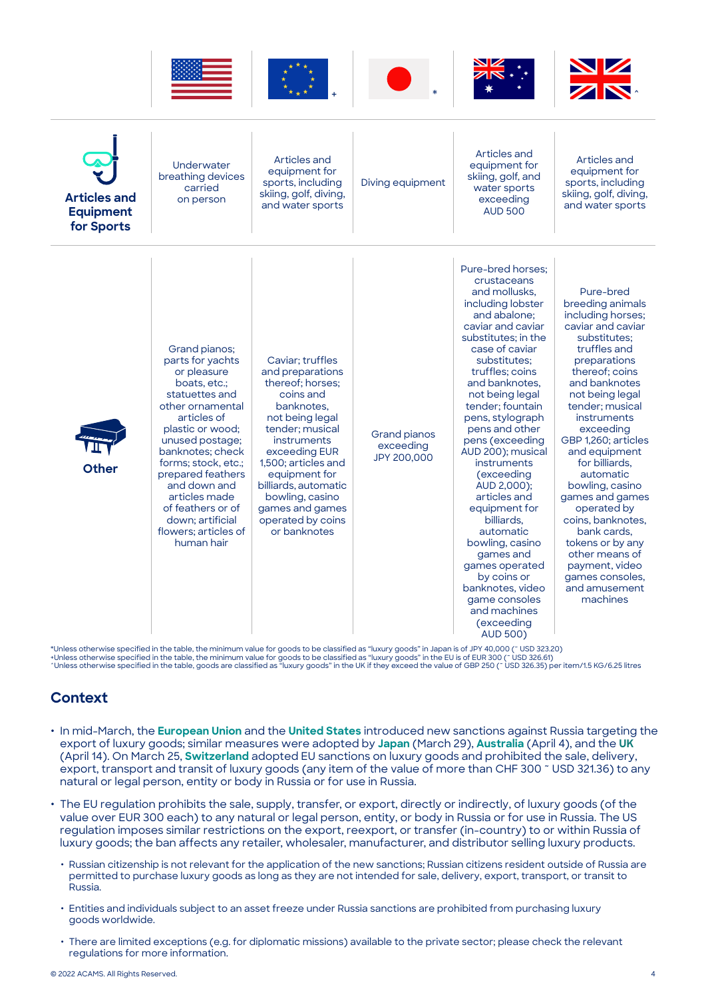









| <b>Articles and</b><br><b>Equipment</b><br>for Sports | Underwater<br>breathing devices<br>carried<br>on person                                                                                                                                                                                                                                                                                      | Articles and<br>equipment for<br>sports, including<br>skiing, golf, diving,<br>and water sports                                                                                                                                                                                                      | Diving equipment                                | Articles and<br>equipment for<br>skiing, golf, and<br>water sports<br>exceeding<br><b>AUD 500</b>                                                                                                                                                                                                                                                                                                                                                                                                                                                                                                           | Articles and<br>equipment for<br>sports, including<br>skiing, golf, diving,<br>and water sports                                                                                                                                                                                                                                                                                                                                                                                                      |
|-------------------------------------------------------|----------------------------------------------------------------------------------------------------------------------------------------------------------------------------------------------------------------------------------------------------------------------------------------------------------------------------------------------|------------------------------------------------------------------------------------------------------------------------------------------------------------------------------------------------------------------------------------------------------------------------------------------------------|-------------------------------------------------|-------------------------------------------------------------------------------------------------------------------------------------------------------------------------------------------------------------------------------------------------------------------------------------------------------------------------------------------------------------------------------------------------------------------------------------------------------------------------------------------------------------------------------------------------------------------------------------------------------------|------------------------------------------------------------------------------------------------------------------------------------------------------------------------------------------------------------------------------------------------------------------------------------------------------------------------------------------------------------------------------------------------------------------------------------------------------------------------------------------------------|
| <b>Other</b>                                          | Grand pianos:<br>parts for yachts<br>or pleasure<br>boats, etc.;<br>statuettes and<br>other ornamental<br>articles of<br>plastic or wood;<br>unused postage;<br>banknotes: check<br>forms; stock, etc.;<br>prepared feathers<br>and down and<br>articles made<br>of feathers or of<br>down: artificial<br>flowers; articles of<br>human hair | Caviar: truffles<br>and preparations<br>thereof; horses;<br>coins and<br>banknotes.<br>not being legal<br>tender: musical<br>instruments<br>exceeding EUR<br>1,500; articles and<br>equipment for<br>billiards, automatic<br>bowling, casino<br>games and games<br>operated by coins<br>or banknotes | <b>Grand pianos</b><br>exceeding<br>JPY 200,000 | Pure-bred horses:<br>crustaceans<br>and mollusks.<br>including lobster<br>and abalone:<br>caviar and caviar<br>substitutes; in the<br>case of caviar<br>substitutes;<br>truffles; coins<br>and banknotes.<br>not being legal<br>tender: fountain<br>pens, stylograph<br>pens and other<br>pens (exceeding<br>AUD 200); musical<br><b>instruments</b><br>(exceeding<br>AUD 2,000);<br>articles and<br>equipment for<br>billiards.<br>automatic<br>bowling, casino<br>games and<br>games operated<br>by coins or<br>banknotes, video<br>game consoles<br>and machines<br><i>(exceeding</i><br><b>AUD 500)</b> | Pure-bred<br>breeding animals<br>including horses;<br>caviar and caviar<br>substitutes;<br>truffles and<br>preparations<br>thereof: coins<br>and banknotes<br>not being legal<br>tender: musical<br>instruments<br>exceeding<br>GBP 1,260; articles<br>and equipment<br>for billiards,<br>automatic<br>bowling, casino<br>games and games<br>operated by<br>coins, banknotes,<br>bank cards,<br>tokens or by any<br>other means of<br>payment, video<br>games consoles.<br>and amusement<br>machines |

\*Unless otherwise specified in the table, the minimum value for goods to be classified as "luxury goods" in Japan is of JPY 40,000 (~ USD 323.20)<br>+Unless otherwise specified in the table, the minimum value for goods to be

### **Context**

- **•** In mid-March, the **[European Union](https://eur-lex.europa.eu/legal-content/EN/TXT/PDF/?uri=OJ:L:2022:087I:FULL&from=EN)** and the **[United States](https://www.federalregister.gov/documents/2022/03/16/2022-05604/imposition-of-sanctions-on-luxury-goods-destined-for-russia-and-belarus-and-for-russian-and)** introduced new sanctions against Russia targeting the export of luxury goods; similar measures were adopted by **[Japan](https://www.meti.go.jp/press/2021/03/20220329007/20220329007.html)** (March 29), **[Australia](https://www.legislation.gov.au/Details/F2022L00522)** (April 4), and the **[UK](https://www.legislation.gov.uk/uksi/2022/452/made#:~:text=Regulation%2010-,SCHEDULE,-PART%201)** (April 14). On March 25, **[Switzerland](https://www.fedlex.admin.ch/eli/cc/2022/151/fr)** adopted EU sanctions on luxury goods and prohibited the sale, delivery, export, transport and transit of luxury goods (any item of the value of more than CHF 300 ~ USD 321.36) to any natural or legal person, entity or body in Russia or for use in Russia.
- **•** The EU regulation prohibits the sale, supply, transfer, or export, directly or indirectly, of luxury goods (of the value over EUR 300 each) to any natural or legal person, entity, or body in Russia or for use in Russia. The US regulation imposes similar restrictions on the export, reexport, or transfer (in-country) to or within Russia of luxury goods; the ban affects any retailer, wholesaler, manufacturer, and distributor selling luxury products.
	- **•** Russian citizenship is not relevant for the application of the new sanctions; Russian citizens resident outside of Russia are permitted to purchase luxury goods as long as they are not intended for sale, delivery, export, transport, or transit to Russia.
	- **•** Entities and individuals subject to an asset freeze under Russia sanctions are prohibited from purchasing luxury goods worldwide.
	- **•** There are limited exceptions (e.g. for diplomatic missions) available to the private sector; please check the relevant regulations for more information.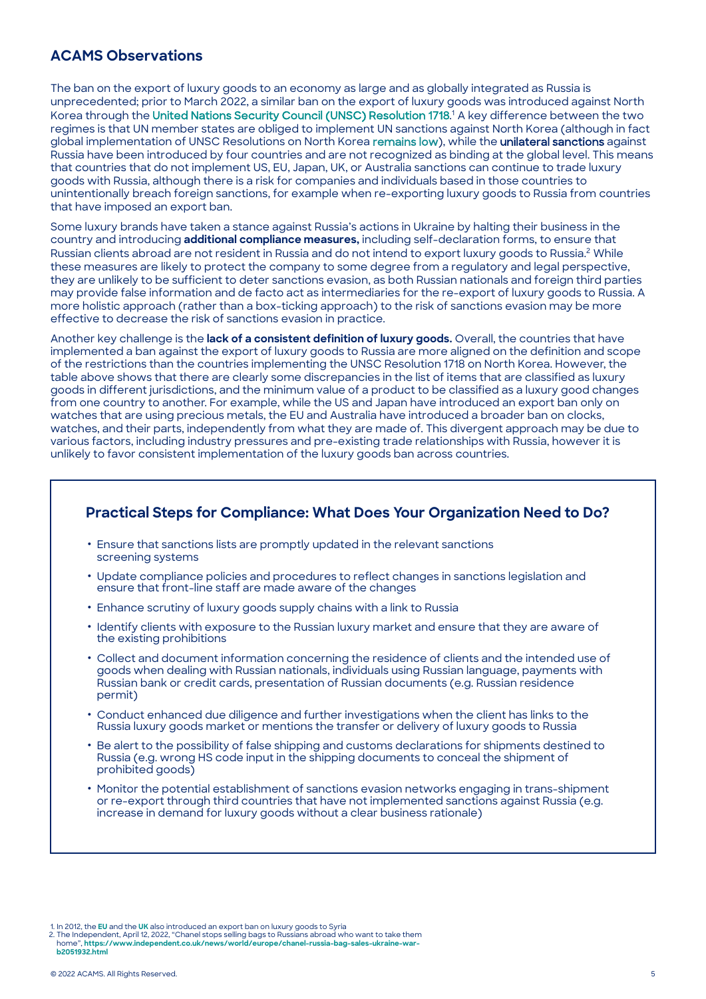#### **ACAMS Observations**

The ban on the export of luxury goods to an economy as large and as globally integrated as Russia is unprecedented; prior to March 2022, a similar ban on the export of luxury goods was introduced against North Korea through the [United Nations Security Council \(UNSC\) Resolution 1718](http://unscr.com/en/resolutions/1718). <sup>1</sup> A key difference between the two regimes is that UN member states are obliged to implement UN sanctions against North Korea (although in fact global implementation of UNSC Resolutions on North Korea [remains low\),](https://nam12.safelinks.protection.outlook.com/?url=https%3A%2F%2Fdaccess-ods.un.org%2Faccess.nsf%2FGet%3FOpenAgent%26DS%3DS%2F2022%2F132%26Lang%3DE&data=05%7C01%7CJPayne%40acams.org%7C420dc276b78e4cdf4ae008da282ff52b%7C97fb1a0766ed498398cd2b41977edc25%7C0%7C0%7C637866483710923806%7CUnknown%7CTWFpbGZsb3d8eyJWIjoiMC4wLjAwMDAiLCJQIjoiV2luMzIiLCJBTiI6Ik1haWwiLCJXVCI6Mn0%3D%7C3000%7C%7C%7C&sdata=%2Fl1b1qdZ6k8subP8s4aSK%2Btn8Mk4s5RDc6i%2F88DcL%2BQ%3D&reserved=0) while the unilateral sanctions against Russia have been introduced by four countries and are not recognized as binding at the global level. This means that countries that do not implement US, EU, Japan, UK, or Australia sanctions can continue to trade luxury goods with Russia, although there is a risk for companies and individuals based in those countries to unintentionally breach foreign sanctions, for example when re-exporting luxury goods to Russia from countries that have imposed an export ban.

Some luxury brands have taken a stance against Russia's actions in Ukraine by halting their business in the country and introducing **additional compliance measures,** including self-declaration forms, to ensure that Russian clients abroad are not resident in Russia and do not intend to export luxury goods to Russia.<sup>2</sup> While these measures are likely to protect the company to some degree from a regulatory and legal perspective, they are unlikely to be sufficient to deter sanctions evasion, as both Russian nationals and foreign third parties may provide false information and de facto act as intermediaries for the re-export of luxury goods to Russia. A more holistic approach (rather than a box-ticking approach) to the risk of sanctions evasion may be more effective to decrease the risk of sanctions evasion in practice.

Another key challenge is the **lack of a consistent definition of luxury goods.** Overall, the countries that have implemented a ban against the export of luxury goods to Russia are more aligned on the definition and scope of the restrictions than the countries implementing the UNSC Resolution 1718 on North Korea. However, the table above shows that there are clearly some discrepancies in the list of items that are classified as luxury goods in different jurisdictions, and the minimum value of a product to be classified as a luxury good changes from one country to another. For example, while the US and Japan have introduced an export ban only on watches that are using precious metals, the EU and Australia have introduced a broader ban on clocks, watches, and their parts, independently from what they are made of. This divergent approach may be due to various factors, including industry pressures and pre-existing trade relationships with Russia, however it is unlikely to favor consistent implementation of the luxury goods ban across countries.

#### **Practical Steps for Compliance: What Does Your Organization Need to Do?**

- **•** Ensure that sanctions lists are promptly updated in the relevant sanctions screening systems
- **•** Update compliance policies and procedures to reflect changes in sanctions legislation and ensure that front-line staff are made aware of the changes
- **•** Enhance scrutiny of luxury goods supply chains with a link to Russia
- **•** Identify clients with exposure to the Russian luxury market and ensure that they are aware of the existing prohibitions
- **•** Collect and document information concerning the residence of clients and the intended use of goods when dealing with Russian nationals, individuals using Russian language, payments with Russian bank or credit cards, presentation of Russian documents (e.g. Russian residence permit)
- **•** Conduct enhanced due diligence and further investigations when the client has links to the Russia luxury goods market or mentions the transfer or delivery of luxury goods to Russia
- **•** Be alert to the possibility of false shipping and customs declarations for shipments destined to Russia (e.g. wrong HS code input in the shipping documents to conceal the shipment of prohibited goods)
- **•** Monitor the potential establishment of sanctions evasion networks engaging in trans-shipment or re-export through third countries that have not implemented sanctions against Russia (e.g. increase in demand for luxury goods without a clear business rationale)

2. The Independent, April 12, 2022, "Chanel stops selling bags to Russians abroad who want to take them home", **[https://www.independent.co.uk/news/world/europe/chanel-russia-bag-sales-ukraine-war-](https://www.independent.co.uk/news/world/europe/chanel-russia-bag-sales-ukraine-war-b2051932.html)**

**b2051932.html**

<sup>1.</sup> In 2012, the **[EU](https://www.consilium.europa.eu/uedocs/cms_data/docs/pressdata/EN/foraff/130994.pdf)** and the **[UK](https://www.gov.uk/government/collections/uk-sanctions-on-syria)** also introduced an export ban on luxury goods to Syria